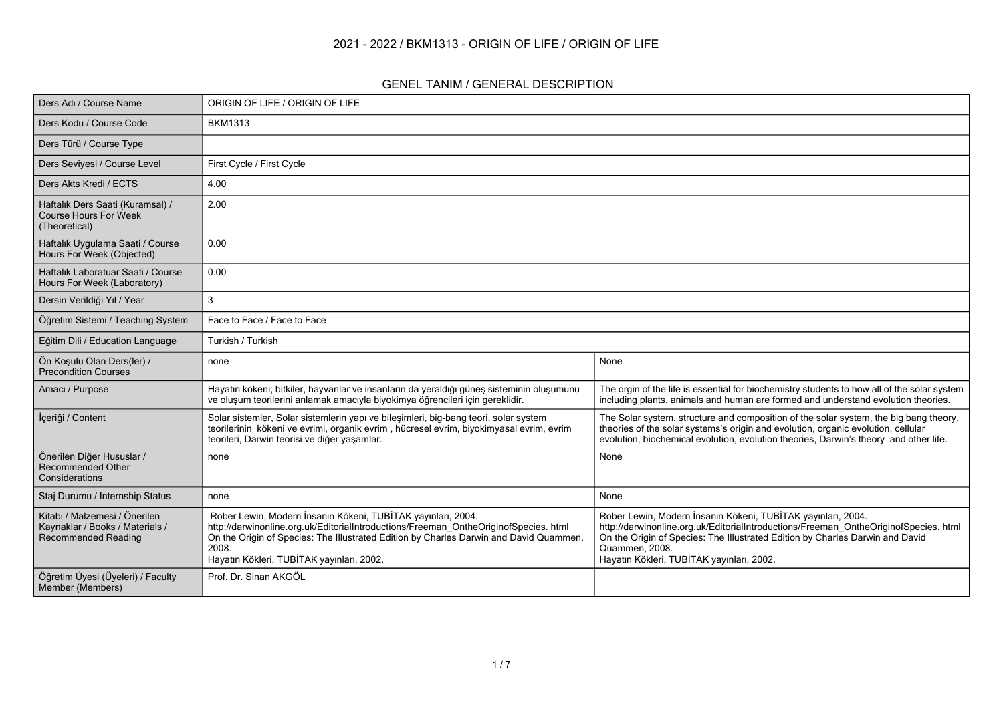### **2021 - 2022 / BKM1313 - ORIGIN OF LIFE / ORIGIN OF LIFE**

#### **GENEL TANIM / GENERAL DESCRIPTION**

| Ders Adı / Course Name                                                                         | ORIGIN OF LIFE / ORIGIN OF LIFE                                                                                                                                                                                                                                                                     |                                                                                                                                                                                                                                                                                                     |
|------------------------------------------------------------------------------------------------|-----------------------------------------------------------------------------------------------------------------------------------------------------------------------------------------------------------------------------------------------------------------------------------------------------|-----------------------------------------------------------------------------------------------------------------------------------------------------------------------------------------------------------------------------------------------------------------------------------------------------|
| Ders Kodu / Course Code                                                                        | <b>BKM1313</b>                                                                                                                                                                                                                                                                                      |                                                                                                                                                                                                                                                                                                     |
| Ders Türü / Course Type                                                                        |                                                                                                                                                                                                                                                                                                     |                                                                                                                                                                                                                                                                                                     |
| Ders Seviyesi / Course Level                                                                   | First Cycle / First Cycle                                                                                                                                                                                                                                                                           |                                                                                                                                                                                                                                                                                                     |
| Ders Akts Kredi / ECTS                                                                         | 4.00                                                                                                                                                                                                                                                                                                |                                                                                                                                                                                                                                                                                                     |
| Haftalık Ders Saati (Kuramsal) /<br><b>Course Hours For Week</b><br>(Theoretical)              | 2.00                                                                                                                                                                                                                                                                                                |                                                                                                                                                                                                                                                                                                     |
| Haftalık Uygulama Saati / Course<br>Hours For Week (Objected)                                  | 0.00                                                                                                                                                                                                                                                                                                |                                                                                                                                                                                                                                                                                                     |
| Haftalık Laboratuar Saati / Course<br>Hours For Week (Laboratory)                              | 0.00                                                                                                                                                                                                                                                                                                |                                                                                                                                                                                                                                                                                                     |
| Dersin Verildiği Yıl / Year                                                                    | 3                                                                                                                                                                                                                                                                                                   |                                                                                                                                                                                                                                                                                                     |
| Öğretim Sistemi / Teaching System                                                              | Face to Face / Face to Face                                                                                                                                                                                                                                                                         |                                                                                                                                                                                                                                                                                                     |
| Eğitim Dili / Education Language                                                               | Turkish / Turkish                                                                                                                                                                                                                                                                                   |                                                                                                                                                                                                                                                                                                     |
| Ön Koşulu Olan Ders(ler) /<br><b>Precondition Courses</b>                                      | none                                                                                                                                                                                                                                                                                                | None                                                                                                                                                                                                                                                                                                |
| Amacı / Purpose                                                                                | Hayatın kökeni; bitkiler, hayvanlar ve insanların da yeraldığı güneş sisteminin oluşumunu<br>ve oluşum teorilerini anlamak amacıyla biyokimya öğrencileri için gereklidir.                                                                                                                          | The orgin of the life is essential for biochemistry students to how all of the solar system<br>including plants, animals and human are formed and understand evolution theories.                                                                                                                    |
| İçeriği / Content                                                                              | Solar sistemler, Solar sistemlerin yapı ve bileşimleri, big-bang teori, solar system<br>teorilerinin kökeni ve evrimi, organik evrim, hücresel evrim, biyokimyasal evrim, evrim<br>teorileri, Darwin teorisi ve diğer yaşamlar.                                                                     | The Solar system, structure and composition of the solar system, the big bang theory,<br>theories of the solar systems's origin and evolution, organic evolution, cellular<br>evolution, biochemical evolution, evolution theories, Darwin's theory and other life.                                 |
| Önerilen Diğer Hususlar /<br>Recommended Other<br>Considerations                               | none                                                                                                                                                                                                                                                                                                | None                                                                                                                                                                                                                                                                                                |
| Staj Durumu / Internship Status                                                                | none                                                                                                                                                                                                                                                                                                | None                                                                                                                                                                                                                                                                                                |
| Kitabı / Malzemesi / Önerilen<br>Kaynaklar / Books / Materials /<br><b>Recommended Reading</b> | Rober Lewin, Modern İnsanın Kökeni, TUBİTAK yayınları, 2004.<br>http://darwinonline.org.uk/EditorialIntroductions/Freeman_OntheOriginofSpecies.html<br>On the Origin of Species: The Illustrated Edition by Charles Darwin and David Quammen,<br>2008.<br>Hayatın Kökleri, TUBİTAK yayınları, 2002. | Rober Lewin, Modern İnsanın Kökeni, TUBİTAK yayınları, 2004.<br>http://darwinonline.org.uk/EditorialIntroductions/Freeman_OntheOriginofSpecies.html<br>On the Origin of Species: The Illustrated Edition by Charles Darwin and David<br>Quammen, 2008.<br>Hayatın Kökleri, TUBİTAK yayınları, 2002. |
| Öğretim Üyesi (Üyeleri) / Faculty<br>Member (Members)                                          | Prof. Dr. Sinan AKGÖL                                                                                                                                                                                                                                                                               |                                                                                                                                                                                                                                                                                                     |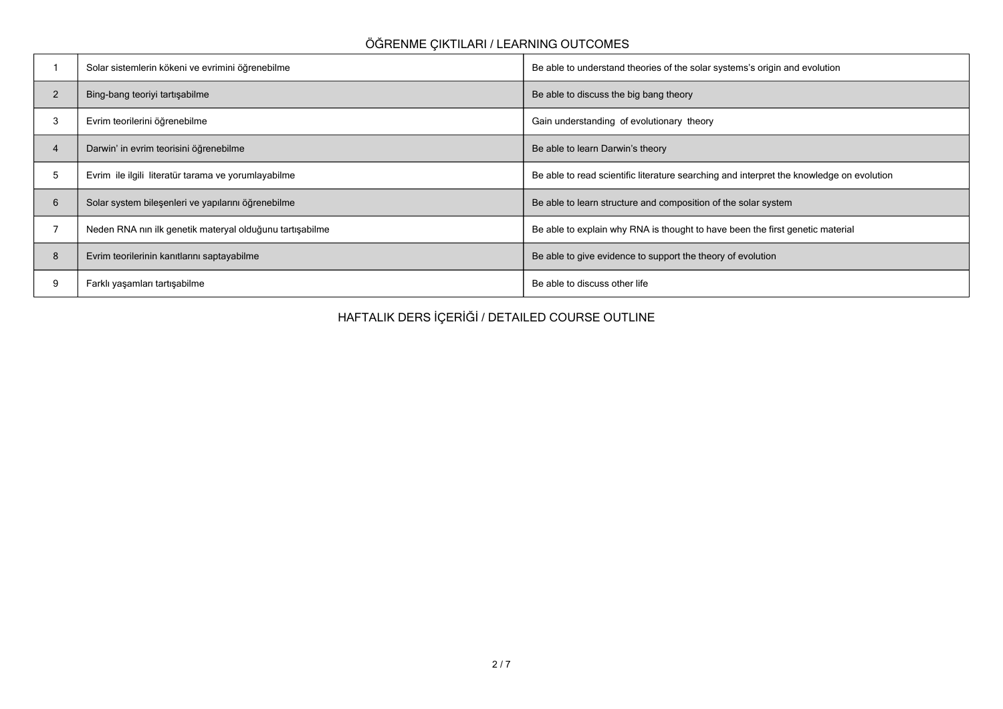# **ÖĞRENME ÇIKTILARI / LEARNING OUTCOMES**

|                | Solar sistemlerin kökeni ve evrimini öğrenebilme         | Be able to understand theories of the solar systems's origin and evolution               |
|----------------|----------------------------------------------------------|------------------------------------------------------------------------------------------|
| $\overline{2}$ | Bing-bang teoriyi tartışabilme                           | Be able to discuss the big bang theory                                                   |
| 3              | Evrim teorilerini öğrenebilme                            | Gain understanding of evolutionary theory                                                |
| 4              | Darwin' in evrim teorisini öğrenebilme                   | Be able to learn Darwin's theory                                                         |
| 5              | Evrim ile ilgili literatür tarama ve yorumlayabilme      | Be able to read scientific literature searching and interpret the knowledge on evolution |
| 6              | Solar system bileşenleri ve yapılarını öğrenebilme       | Be able to learn structure and composition of the solar system                           |
|                | Neden RNA nın ilk genetik materyal olduğunu tartışabilme | Be able to explain why RNA is thought to have been the first genetic material            |
| 8              | Evrim teorilerinin kanıtlarını saptayabilme              | Be able to give evidence to support the theory of evolution                              |
| 9              | Farklı yaşamları tartışabilme                            | Be able to discuss other life                                                            |

**HAFTALIK DERS İÇERİĞİ / DETAILED COURSE OUTLINE**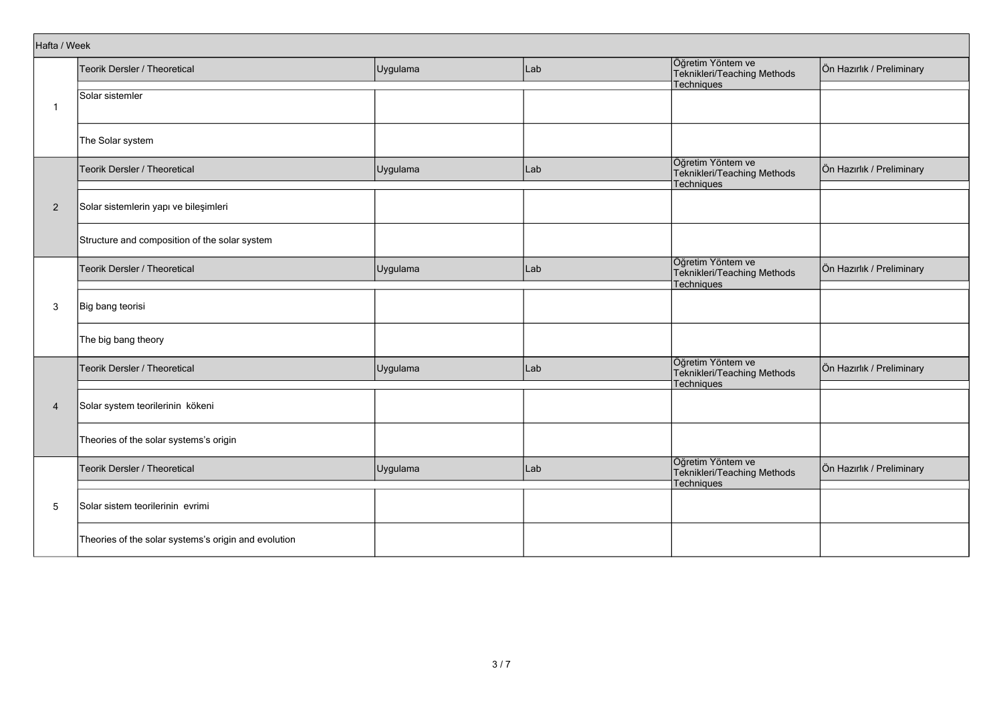|                | Hafta / Week                                         |          |     |                                                                       |                           |  |  |  |  |
|----------------|------------------------------------------------------|----------|-----|-----------------------------------------------------------------------|---------------------------|--|--|--|--|
|                | Teorik Dersler / Theoretical                         | Uygulama | Lab | Öğretim Yöntem ve<br>Teknikleri/Teaching Methods<br><b>Techniques</b> | Ön Hazırlık / Preliminary |  |  |  |  |
| $\overline{1}$ | Solar sistemler                                      |          |     |                                                                       |                           |  |  |  |  |
|                | The Solar system                                     |          |     |                                                                       |                           |  |  |  |  |
|                | Teorik Dersler / Theoretical                         | Uygulama | Lab | Öğretim Yöntem ve<br>Teknikleri/Teaching Methods<br>Techniques        | Ön Hazırlık / Preliminary |  |  |  |  |
| $\overline{c}$ | Solar sistemlerin yapı ve bileşimleri                |          |     |                                                                       |                           |  |  |  |  |
|                | Structure and composition of the solar system        |          |     |                                                                       |                           |  |  |  |  |
|                | Teorik Dersler / Theoretical                         | Uygulama | Lab | Öğretim Yöntem ve<br>Teknikleri/Teaching Methods<br>Techniques        | Ön Hazırlık / Preliminary |  |  |  |  |
| 3              | Big bang teorisi                                     |          |     |                                                                       |                           |  |  |  |  |
|                | The big bang theory                                  |          |     |                                                                       |                           |  |  |  |  |
|                | Teorik Dersler / Theoretical                         | Uygulama | Lab | Öğretim Yöntem ve<br>Teknikleri/Teaching Methods<br>Techniques        | Ön Hazırlık / Preliminary |  |  |  |  |
| $\overline{4}$ | Solar system teorilerinin kökeni                     |          |     |                                                                       |                           |  |  |  |  |
|                | Theories of the solar systems's origin               |          |     |                                                                       |                           |  |  |  |  |
|                | Teorik Dersler / Theoretical                         | Uygulama | Lab | Öğretim Yöntem ve<br>Teknikleri/Teaching Methods<br>Techniques        | Ön Hazırlık / Preliminary |  |  |  |  |
| 5              | Solar sistem teorilerinin evrimi                     |          |     |                                                                       |                           |  |  |  |  |
|                | Theories of the solar systems's origin and evolution |          |     |                                                                       |                           |  |  |  |  |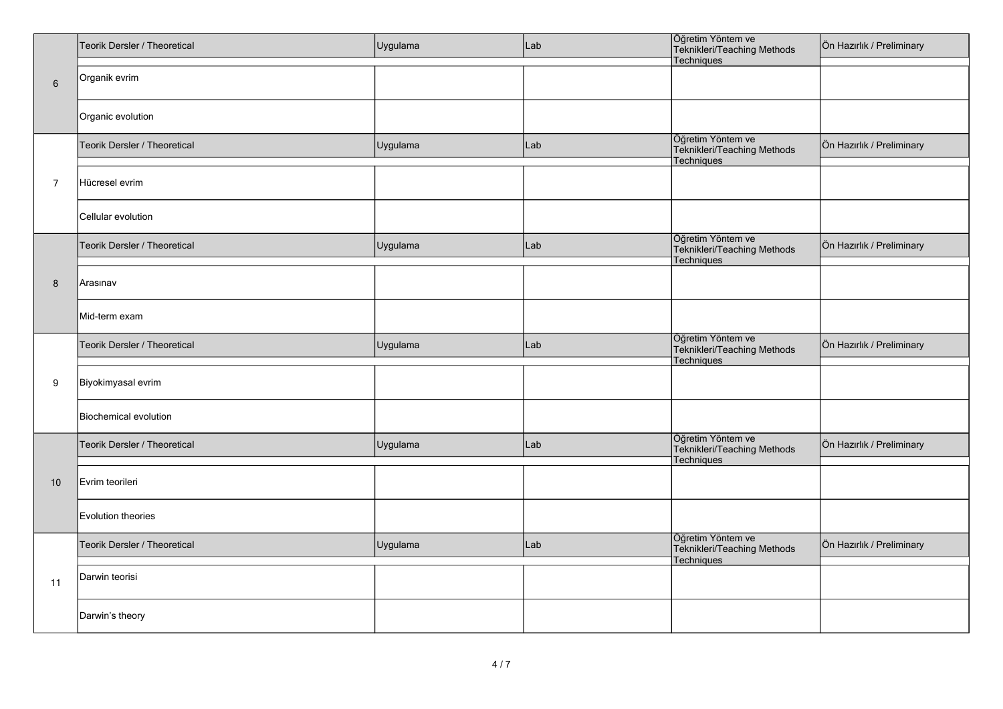|                | Teorik Dersler / Theoretical | Uygulama | Lab | Öğretim Yöntem ve<br>Teknikleri/Teaching Methods<br>Techniques        | Ön Hazırlık / Preliminary |
|----------------|------------------------------|----------|-----|-----------------------------------------------------------------------|---------------------------|
| $\,6\,$        | Organik evrim                |          |     |                                                                       |                           |
|                | Organic evolution            |          |     |                                                                       |                           |
|                | Teorik Dersler / Theoretical | Uygulama | Lab | Öğretim Yöntem ve<br>Teknikleri/Teaching Methods<br>Techniques        | Ön Hazırlık / Preliminary |
| $\overline{7}$ | Hücresel evrim               |          |     |                                                                       |                           |
|                | Cellular evolution           |          |     |                                                                       |                           |
|                | Teorik Dersler / Theoretical | Uygulama | Lab | Öğretim Yöntem ve<br>Teknikleri/Teaching Methods<br>Techniques        | Ön Hazırlık / Preliminary |
| 8              | Arasınav                     |          |     |                                                                       |                           |
|                | Mid-term exam                |          |     |                                                                       |                           |
|                | Teorik Dersler / Theoretical | Uygulama | Lab | Öğretim Yöntem ve<br>Teknikleri/Teaching Methods<br><b>Techniques</b> | Ön Hazırlık / Preliminary |
| $9\,$          | Biyokimyasal evrim           |          |     |                                                                       |                           |
|                | <b>Biochemical evolution</b> |          |     |                                                                       |                           |
|                | Teorik Dersler / Theoretical | Uygulama | Lab | Öğretim Yöntem ve<br>Teknikleri/Teaching Methods<br>Techniques        | Ön Hazırlık / Preliminary |
| 10             | Evrim teorileri              |          |     |                                                                       |                           |
|                | Evolution theories           |          |     |                                                                       |                           |
|                | Teorik Dersler / Theoretical | Uygulama | Lab | Öğretim Yöntem ve<br>Teknikleri/Teaching Methods<br>Techniques        | Ön Hazırlık / Preliminary |
| 11             | Darwin teorisi               |          |     |                                                                       |                           |
|                | Darwin's theory              |          |     |                                                                       |                           |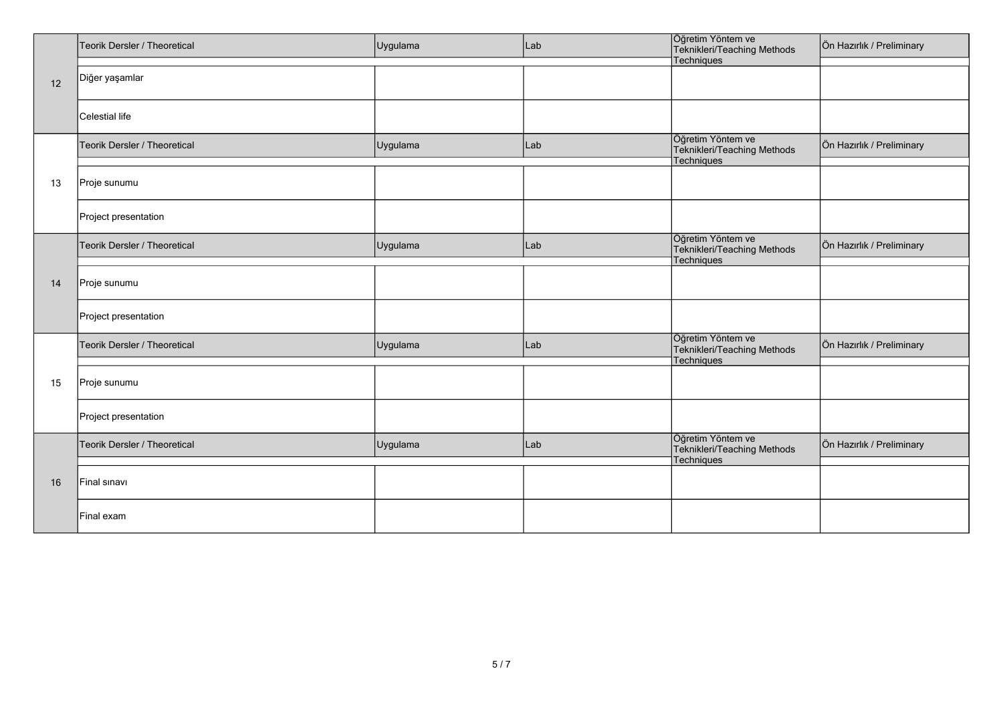|    | Teorik Dersler / Theoretical | <b>Uygulama</b> | Lab | Öğretim Yöntem ve<br>Teknikleri/Teaching Methods               | Ön Hazırlık / Preliminary |
|----|------------------------------|-----------------|-----|----------------------------------------------------------------|---------------------------|
|    |                              |                 |     | Techniques                                                     |                           |
| 12 | Diğer yaşamlar               |                 |     |                                                                |                           |
|    | Celestial life               |                 |     |                                                                |                           |
|    |                              |                 |     |                                                                |                           |
|    | Teorik Dersler / Theoretical | Uygulama        | Lab | Öğretim Yöntem ve<br>Teknikleri/Teaching Methods<br>Techniques | Ön Hazırlık / Preliminary |
|    |                              |                 |     |                                                                |                           |
| 13 | Proje sunumu                 |                 |     |                                                                |                           |
|    | Project presentation         |                 |     |                                                                |                           |
|    |                              |                 |     |                                                                |                           |
|    | Teorik Dersler / Theoretical | Uygulama        | Lab | Öğretim Yöntem ve<br>Teknikleri/Teaching Methods               | Ön Hazırlık / Preliminary |
| 14 |                              |                 |     | Techniques                                                     |                           |
|    | Proje sunumu                 |                 |     |                                                                |                           |
|    | Project presentation         |                 |     |                                                                |                           |
|    |                              |                 |     |                                                                |                           |
|    | Teorik Dersler / Theoretical | Uygulama        | Lab | Öğretim Yöntem ve<br>Teknikleri/Teaching Methods               | Ön Hazırlık / Preliminary |
|    |                              |                 |     | <b>Techniques</b>                                              |                           |
| 15 | Proje sunumu                 |                 |     |                                                                |                           |
|    | Project presentation         |                 |     |                                                                |                           |
|    |                              |                 |     |                                                                |                           |
|    | Teorik Dersler / Theoretical | Uygulama        | Lab | Öğretim Yöntem ve<br>Teknikleri/Teaching Methods<br>Techniques | Ön Hazırlık / Preliminary |
|    |                              |                 |     |                                                                |                           |
| 16 | Final sinavi                 |                 |     |                                                                |                           |
|    | Final exam                   |                 |     |                                                                |                           |
|    |                              |                 |     |                                                                |                           |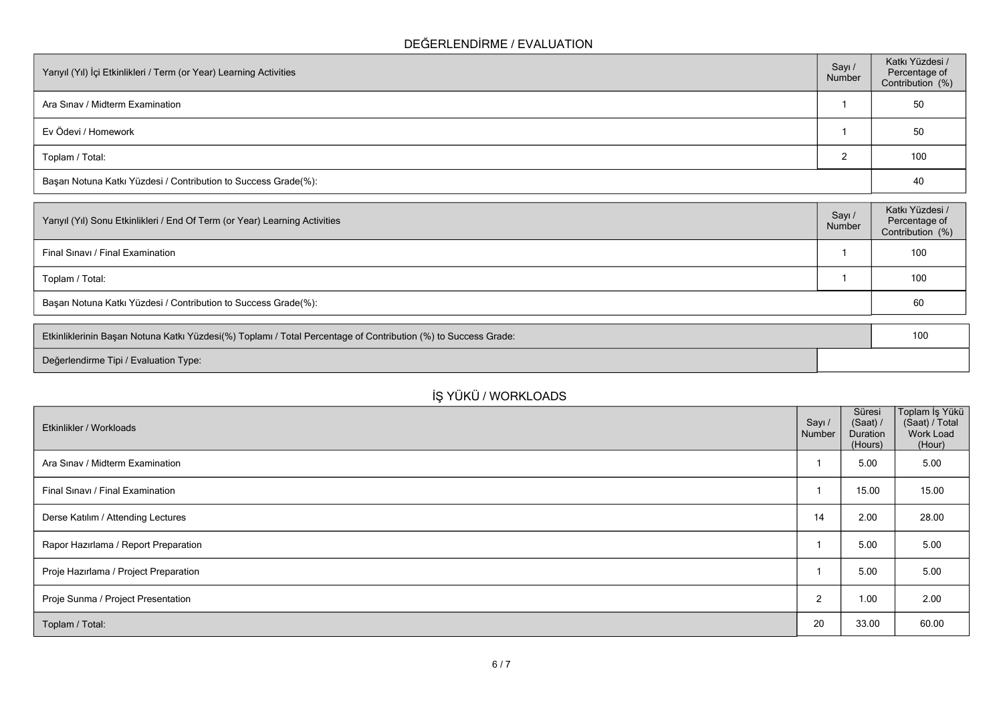## **DEĞERLENDİRME / EVALUATION**

| Yarıyıl (Yıl) İçi Etkinlikleri / Term (or Year) Learning Activities<br>Number |  | Katkı Yüzdesi /<br>Percentage of<br>Contribution (%) |
|-------------------------------------------------------------------------------|--|------------------------------------------------------|
| Ara Sinav / Midterm Examination                                               |  | 50                                                   |
| Ev Ödevi / Homework                                                           |  | 50                                                   |
| Toplam / Total:                                                               |  | 100                                                  |
| Başarı Notuna Katkı Yüzdesi / Contribution to Success Grade(%):               |  | 40                                                   |

| Yarıyıl (Yıl) Sonu Etkinlikleri / End Of Term (or Year) Learning Activities |  | Katkı Yüzdesi /<br>Percentage of<br>Contribution (%) |  |  |
|-----------------------------------------------------------------------------|--|------------------------------------------------------|--|--|
| Final Sinavi / Final Examination                                            |  | 100                                                  |  |  |
| Toplam / Total:                                                             |  | 100                                                  |  |  |
| Başarı Notuna Katkı Yüzdesi / Contribution to Success Grade(%):             |  |                                                      |  |  |

| Etkinliklerinin Başarı Notuna Katkı Yüzdesi(%) Toplamı / Total Percentage of Contribution (%) to Success Grade: |  |
|-----------------------------------------------------------------------------------------------------------------|--|
| Değerlendirme Tipi / Evaluation Type:                                                                           |  |

| İŞ YÜKÜ / WORKLOADS                   |                  |                                           |                                                         |  |  |  |  |
|---------------------------------------|------------------|-------------------------------------------|---------------------------------------------------------|--|--|--|--|
| Etkinlikler / Workloads               | Sayı /<br>Number | Süresi<br>(Saat) /<br>Duration<br>(Hours) | Toplam İş Yükü<br>(Saat) / Total<br>Work Load<br>(Hour) |  |  |  |  |
| Ara Sınav / Midterm Examination       |                  | 5.00                                      | 5.00                                                    |  |  |  |  |
| Final Sinavi / Final Examination      |                  | 15.00                                     | 15.00                                                   |  |  |  |  |
| Derse Katılım / Attending Lectures    | 14               | 2.00                                      | 28.00                                                   |  |  |  |  |
| Rapor Hazırlama / Report Preparation  |                  | 5.00                                      | 5.00                                                    |  |  |  |  |
| Proje Hazırlama / Project Preparation |                  | 5.00                                      | 5.00                                                    |  |  |  |  |
| Proje Sunma / Project Presentation    | 2                | 1.00                                      | 2.00                                                    |  |  |  |  |
| Toplam / Total:                       | 20               | 33.00                                     | 60.00                                                   |  |  |  |  |